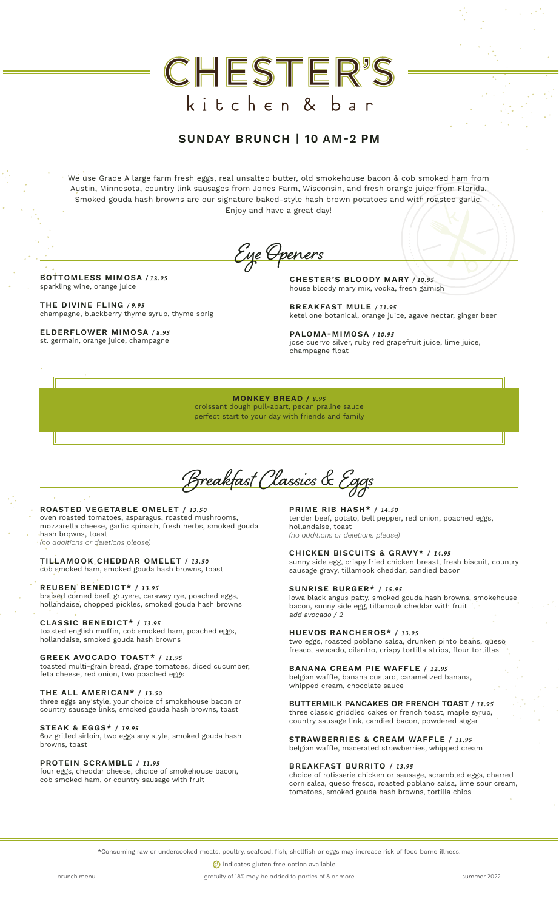# CHESTER'S kitchen & bar

### SUNDAY BRUNCH | 10 AM-2 PM

We use Grade A large farm fresh eggs, real unsalted butter, old smokehouse bacon & cob smoked ham from Austin, Minnesota, country link sausages from Jones Farm, Wisconsin, and fresh orange juice from Florida. Smoked gouda hash browns are our signature baked-style hash brown potatoes and with roasted garlic. Enjoy and have a great day!

Eye Openers

BOTTOMLESS MIMOSA */ 12.95* sparkling wine, orange juice

THE DIVINE FLING */ 9.95* champagne, blackberry thyme syrup, thyme sprig

ELDERFLOWER MIMOSA */ 8.95* st. germain, orange juice, champagne

CHESTER'S BLOODY MARY */ 10.95* house bloody mary mix, vodka, fresh garnish

BREAKFAST MULE */ 11.95* ketel one botanical, orange juice, agave nectar, ginger beer

PALOMA-MIMOSA */ 10.95* jose cuervo silver, ruby red grapefruit juice, lime juice, champagne float

MONKEY BREAD / *8.95* croissant dough pull-apart, pecan praline sauce perfect start to your day with friends and family

Breakfast Classics & Eggs

ROASTED VEGETABLE OMELET / *13.50* oven roasted tomatoes, asparagus, roasted mushrooms, mozzarella cheese, garlic spinach, fresh herbs, smoked gouda hash browns, toast *(no additions or deletions please)*

TILLAMOOK CHEDDAR OMELET / *13.50* cob smoked ham, smoked gouda hash browns, toast

REUBEN BENEDICT\* / *13.95* braised corned beef, gruyere, caraway rye, poached eggs, hollandaise, chopped pickles, smoked gouda hash browns

CLASSIC BENEDICT\* / *13.95* toasted english muffin, cob smoked ham, poached eggs, hollandaise, smoked gouda hash browns

GREEK AVOCADO TOAST\* / *11.95*

toasted multi-grain bread, grape tomatoes, diced cucumber, feta cheese, red onion, two poached eggs

THE ALL AMERICAN\* / *13.50*

three eggs any style, your choice of smokehouse bacon or country sausage links, smoked gouda hash browns, toast

#### STEAK & EGGS\* / *19.95*

6oz grilled sirloin, two eggs any style, smoked gouda hash browns, toast

PROTEIN SCRAMBLE / *11.95*

four eggs, cheddar cheese, choice of smokehouse bacon, cob smoked ham, or country sausage with fruit

PRIME RIB HASH\* / *14.50* tender beef, potato, bell pepper, red onion, poached eggs, hollandaise, toast *(no additions or deletions please)*

CHICKEN BISCUITS & GRAVY\* / *14.95* sunny side egg, crispy fried chicken breast, fresh biscuit, country sausage gravy, tillamook cheddar, candied bacon

SUNRISE BURGER\* / *15.95* iowa black angus patty, smoked gouda hash browns, smokehouse bacon, sunny side egg, tillamook cheddar with fruit add avocado / 2

HUEVOS RANCHEROS\* / *13.95* two eggs, roasted poblano salsa, drunken pinto beans, queso fresco, avocado, cilantro, crispy tortilla strips, flour tortillas

BANANA CREAM PIE WAFFLE / *12.95* belgian waffle, banana custard, caramelized banana, whipped cream, chocolate sauce

BUTTERMILK PANCAKES OR FRENCH TOAST / *11.95* three classic griddled cakes or french toast, maple syrup, country sausage link, candied bacon, powdered sugar

STRAWBERRIES & CREAM WAFFLE / *11.95* belgian waffle, macerated strawberries, whipped cream

#### BREAKFAST BURRITO / *13.95*

choice of rotisserie chicken or sausage, scrambled eggs, charred corn salsa, queso fresco, roasted poblano salsa, lime sour cream, tomatoes, smoked gouda hash browns, tortilla chips

\*Consuming raw or undercooked meats, poultry, seafood, fish, shellfish or eggs may increase risk of food borne illness.

**(6)** indicates gluten free option available

brunch menu summer 2022 brunch menu gratuity of 18% may be added to parties of 8 or more